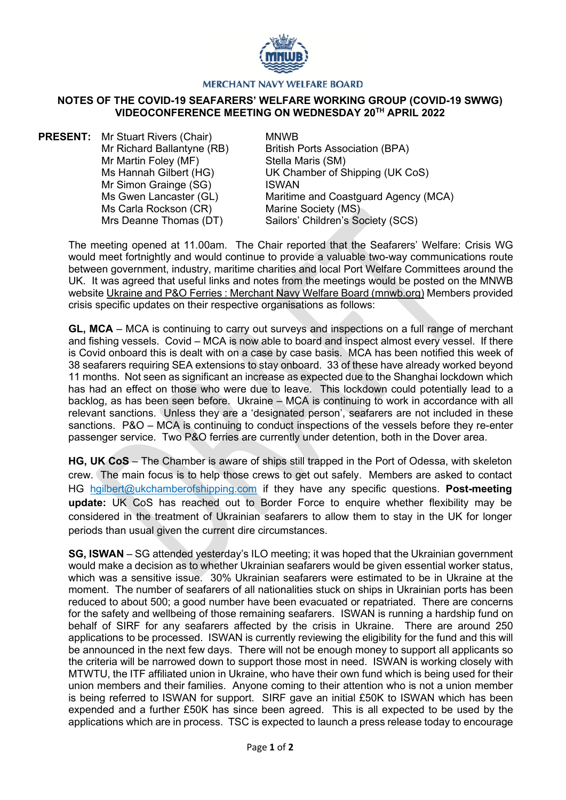

## **MERCHANT NAVY WELFARE BOARD**

## **NOTES OF THE COVID-19 SEAFARERS' WELFARE WORKING GROUP (COVID-19 SWWG) VIDEOCONFERENCE MEETING ON WEDNESDAY 20TH APRIL 2022**

**PRESENT:** Mr Stuart Rivers (Chair) Mr Richard Ballantyne (RB) Mr Martin Foley (MF) Ms Hannah Gilbert (HG) Mr Simon Grainge (SG) Ms Gwen Lancaster (GL) Ms Carla Rockson (CR) Mrs Deanne Thomas (DT)

MNWB British Ports Association (BPA) Stella Maris (SM) UK Chamber of Shipping (UK CoS) ISWAN Maritime and Coastguard Agency (MCA) Marine Society (MS) Sailors' Children's Society (SCS)

The meeting opened at 11.00am. The Chair reported that the Seafarers' Welfare: Crisis WG would meet fortnightly and would continue to provide a valuable two-way communications route between government, industry, maritime charities and local Port Welfare Committees around the UK. It was agreed that useful links and notes from the meetings would be posted on the MNWB website [Ukraine and P&O Ferries : Merchant Navy Welfare Board \(mnwb.org\)](https://www.mnwb.org/ukraineandpoferries) Members provided crisis specific updates on their respective organisations as follows:

**GL, MCA** – MCA is continuing to carry out surveys and inspections on a full range of merchant and fishing vessels. Covid – MCA is now able to board and inspect almost every vessel. If there is Covid onboard this is dealt with on a case by case basis. MCA has been notified this week of 38 seafarers requiring SEA extensions to stay onboard. 33 of these have already worked beyond 11 months. Not seen as significant an increase as expected due to the Shanghai lockdown which has had an effect on those who were due to leave. This lockdown could potentially lead to a backlog, as has been seen before. Ukraine – MCA is continuing to work in accordance with all relevant sanctions. Unless they are a 'designated person', seafarers are not included in these sanctions. P&O – MCA is continuing to conduct inspections of the vessels before they re-enter passenger service. Two P&O ferries are currently under detention, both in the Dover area.

**HG, UK CoS** – The Chamber is aware of ships still trapped in the Port of Odessa, with skeleton crew. The main focus is to help those crews to get out safely. Members are asked to contact HG [hgilbert@ukchamberofshipping.com](mailto:hgilbert@ukchamberofshipping.com) if they have any specific questions. **Post-meeting update:** UK CoS has reached out to Border Force to enquire whether flexibility may be considered in the treatment of Ukrainian seafarers to allow them to stay in the UK for longer periods than usual given the current dire circumstances.

**SG, ISWAN** – SG attended yesterday's ILO meeting; it was hoped that the Ukrainian government would make a decision as to whether Ukrainian seafarers would be given essential worker status, which was a sensitive issue. 30% Ukrainian seafarers were estimated to be in Ukraine at the moment. The number of seafarers of all nationalities stuck on ships in Ukrainian ports has been reduced to about 500; a good number have been evacuated or repatriated. There are concerns for the safety and wellbeing of those remaining seafarers. ISWAN is running a hardship fund on behalf of SIRF for any seafarers affected by the crisis in Ukraine. There are around 250 applications to be processed. ISWAN is currently reviewing the eligibility for the fund and this will be announced in the next few days. There will not be enough money to support all applicants so the criteria will be narrowed down to support those most in need. ISWAN is working closely with MTWTU, the ITF affiliated union in Ukraine, who have their own fund which is being used for their union members and their families. Anyone coming to their attention who is not a union member is being referred to ISWAN for support. SIRF gave an initial £50K to ISWAN which has been expended and a further £50K has since been agreed. This is all expected to be used by the applications which are in process. TSC is expected to launch a press release today to encourage